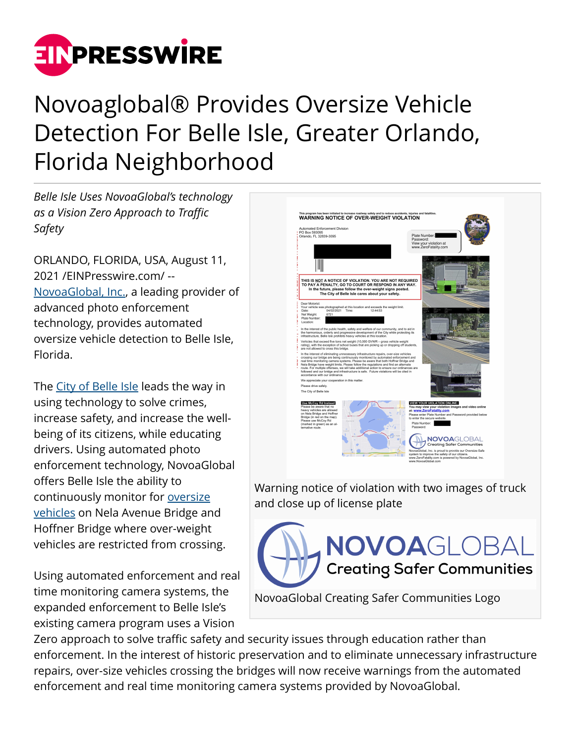

## Novoaglobal® Provides Oversize Vehicle Detection For Belle Isle, Greater Orlando, Florida Neighborhood

*Belle Isle Uses NovoaGlobal's technology as a Vision Zero Approach to Traffic Safety*

ORLANDO, FLORIDA, USA, August 11, 2021 /[EINPresswire.com](http://www.einpresswire.com)/ -- [NovoaGlobal, Inc.,](http://novoaglobal.com/) a leading provider of advanced photo enforcement technology, provides automated oversize vehicle detection to Belle Isle, Florida.

The [City of Belle Isle](https://www.belleislefl.gov/) leads the way in using technology to solve crimes, increase safety, and increase the wellbeing of its citizens, while educating drivers. Using automated photo enforcement technology, NovoaGlobal offers Belle Isle the ability to continuously monitor for [oversize](https://novoaglobal.com/over-size-safe/) [vehicles](https://novoaglobal.com/over-size-safe/) on Nela Avenue Bridge and Hoffner Bridge where over-weight vehicles are restricted from crossing.

Using automated enforcement and real time monitoring camera systems, the expanded enforcement to Belle Isle's existing camera program uses a Vision

WARNING NOTICE OF OVER-WEIGHT VIOLATION Automated Enforcement Division<br>PO Box 593095<br>Orlando, FL 32839-3095 THIS IS <u>NOT</u> A NOTICE OF VIOLATION. YOU ARE NOT REQUIRED<br>TO PAY A PENALTY, GO TO COURT OR RESPOND IN ANY WAY.<br>In the future, please follow the over-weight signs posted. tuture, please follow the over-weight signs po:<br>The City of Belle Isle cares about your safety. hotographed at this location and exceeds the weight l<br>04/02/2021 Time: 12:44:53 **UR VIOLATION ONLINE: NOVOAGLOBAL** Warning notice of violation with two images of truck and close up of license plate NOVOAGLOBAL

NovoaGlobal Creating Safer Communities Logo

**Creating Safer Communities** 

Zero approach to solve traffic safety and security issues through education rather than enforcement. In the interest of historic preservation and to eliminate unnecessary infrastructure repairs, over-size vehicles crossing the bridges will now receive warnings from the automated enforcement and real time monitoring camera systems provided by NovoaGlobal.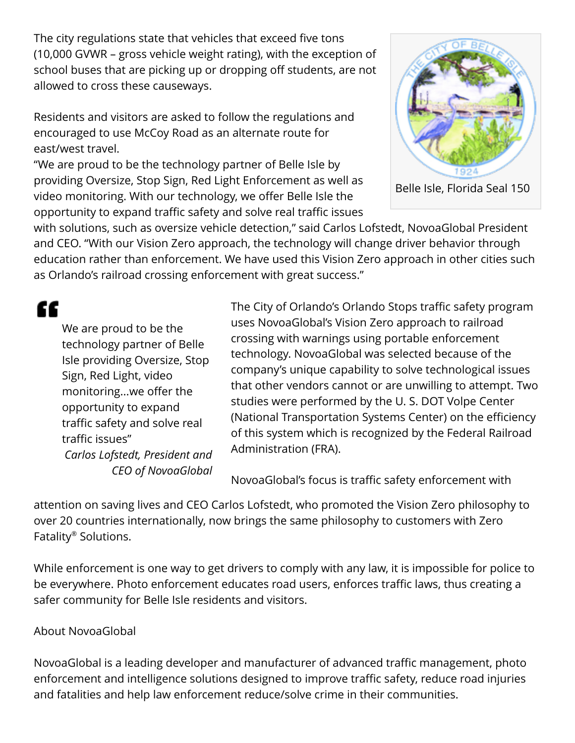The city regulations state that vehicles that exceed five tons (10,000 GVWR – gross vehicle weight rating), with the exception of school buses that are picking up or dropping off students, are not allowed to cross these causeways.

Residents and visitors are asked to follow the regulations and encouraged to use McCoy Road as an alternate route for east/west travel.

"We are proud to be the technology partner of Belle Isle by providing Oversize, Stop Sign, Red Light Enforcement as well as video monitoring. With our technology, we offer Belle Isle the opportunity to expand traffic safety and solve real traffic issues



Belle Isle, Florida Seal 150

with solutions, such as oversize vehicle detection," said Carlos Lofstedt, NovoaGlobal President and CEO. "With our Vision Zero approach, the technology will change driver behavior through education rather than enforcement. We have used this Vision Zero approach in other cities such as Orlando's railroad crossing enforcement with great success."

"

We are proud to be the technology partner of Belle Isle providing Oversize, Stop Sign, Red Light, video monitoring...we offer the opportunity to expand traffic safety and solve real traffic issues" *Carlos Lofstedt, President and CEO of NovoaGlobal* The City of Orlando's Orlando Stops traffic safety program uses NovoaGlobal's Vision Zero approach to railroad crossing with warnings using portable enforcement technology. NovoaGlobal was selected because of the company's unique capability to solve technological issues that other vendors cannot or are unwilling to attempt. Two studies were performed by the U. S. DOT Volpe Center (National Transportation Systems Center) on the efficiency of this system which is recognized by the Federal Railroad Administration (FRA).

NovoaGlobal's focus is traffic safety enforcement with

attention on saving lives and CEO Carlos Lofstedt, who promoted the Vision Zero philosophy to over 20 countries internationally, now brings the same philosophy to customers with Zero Fatality® Solutions.

While enforcement is one way to get drivers to comply with any law, it is impossible for police to be everywhere. Photo enforcement educates road users, enforces traffic laws, thus creating a safer community for Belle Isle residents and visitors.

## About NovoaGlobal

NovoaGlobal is a leading developer and manufacturer of advanced traffic management, photo enforcement and intelligence solutions designed to improve traffic safety, reduce road injuries and fatalities and help law enforcement reduce/solve crime in their communities.